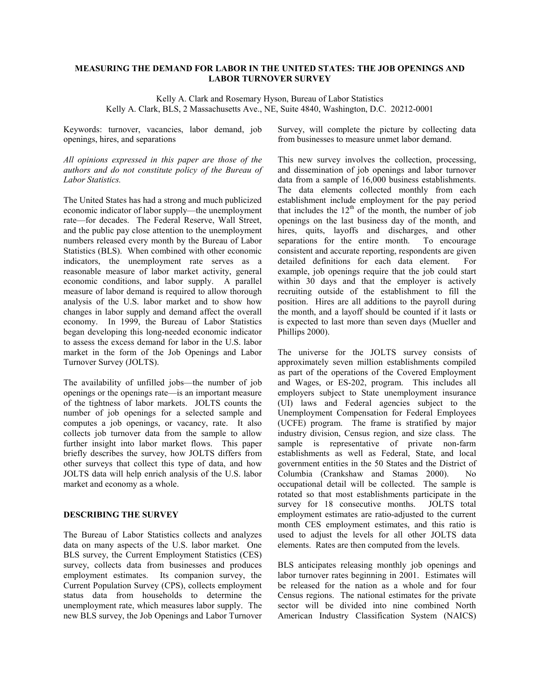# **MEASURING THE DEMAND FOR LABOR IN THE UNITED STATES: THE JOB OPENINGS AND LABOR TURNOVER SURVEY**

Kelly A. Clark and Rosemary Hyson, Bureau of Labor Statistics Kelly A. Clark, BLS, 2 Massachusetts Ave., NE, Suite 4840, Washington, D.C. 20212-0001

Keywords: turnover, vacancies, labor demand, job openings, hires, and separations

*All opinions expressed in this paper are those of the authors and do not constitute policy of the Bureau of Labor Statistics.* 

The United States has had a strong and much publicized economic indicator of labor supply—the unemployment rate—for decades. The Federal Reserve, Wall Street, and the public pay close attention to the unemployment numbers released every month by the Bureau of Labor Statistics (BLS). When combined with other economic indicators, the unemployment rate serves as a reasonable measure of labor market activity, general economic conditions, and labor supply. A parallel measure of labor demand is required to allow thorough analysis of the U.S. labor market and to show how changes in labor supply and demand affect the overall economy. In 1999, the Bureau of Labor Statistics began developing this long-needed economic indicator to assess the excess demand for labor in the U.S. labor market in the form of the Job Openings and Labor Turnover Survey (JOLTS).

The availability of unfilled jobs—the number of job openings or the openings rate—is an important measure of the tightness of labor markets. JOLTS counts the number of job openings for a selected sample and computes a job openings, or vacancy, rate. It also collects job turnover data from the sample to allow further insight into labor market flows. This paper briefly describes the survey, how JOLTS differs from other surveys that collect this type of data, and how JOLTS data will help enrich analysis of the U.S. labor market and economy as a whole.

#### **DESCRIBING THE SURVEY**

The Bureau of Labor Statistics collects and analyzes data on many aspects of the U.S. labor market. One BLS survey, the Current Employment Statistics (CES) survey, collects data from businesses and produces employment estimates. Its companion survey, the Current Population Survey (CPS), collects employment status data from households to determine the unemployment rate, which measures labor supply. The new BLS survey, the Job Openings and Labor Turnover

Survey, will complete the picture by collecting data from businesses to measure unmet labor demand.

This new survey involves the collection, processing, and dissemination of job openings and labor turnover data from a sample of 16,000 business establishments. The data elements collected monthly from each establishment include employment for the pay period that includes the  $12<sup>th</sup>$  of the month, the number of job openings on the last business day of the month, and hires, quits, layoffs and discharges, and other separations for the entire month. To encourage consistent and accurate reporting, respondents are given detailed definitions for each data element. For example, job openings require that the job could start within 30 days and that the employer is actively recruiting outside of the establishment to fill the position. Hires are all additions to the payroll during the month, and a layoff should be counted if it lasts or is expected to last more than seven days (Mueller and Phillips 2000).

The universe for the JOLTS survey consists of approximately seven million establishments compiled as part of the operations of the Covered Employment and Wages, or ES-202, program. This includes all employers subject to State unemployment insurance (UI) laws and Federal agencies subject to the Unemployment Compensation for Federal Employees (UCFE) program. The frame is stratified by major industry division, Census region, and size class. The sample is representative of private non-farm establishments as well as Federal, State, and local government entities in the 50 States and the District of Columbia (Crankshaw and Stamas 2000). No occupational detail will be collected. The sample is rotated so that most establishments participate in the survey for 18 consecutive months. JOLTS total employment estimates are ratio-adjusted to the current month CES employment estimates, and this ratio is used to adjust the levels for all other JOLTS data elements. Rates are then computed from the levels.

BLS anticipates releasing monthly job openings and labor turnover rates beginning in 2001. Estimates will be released for the nation as a whole and for four Census regions. The national estimates for the private sector will be divided into nine combined North American Industry Classification System (NAICS)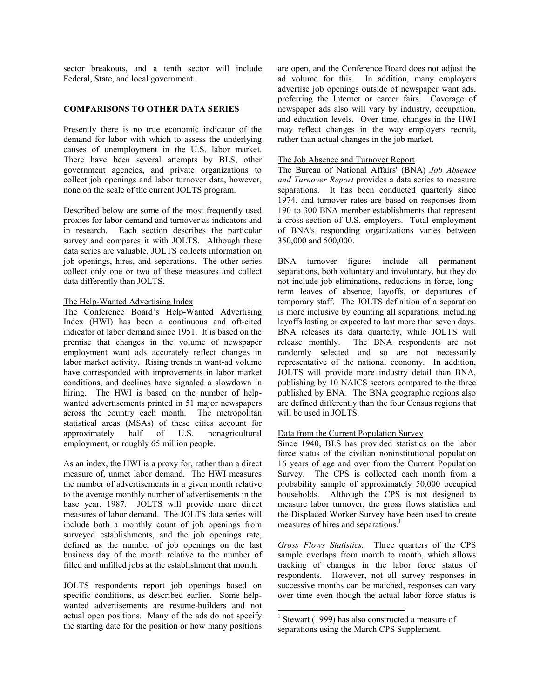sector breakouts, and a tenth sector will include Federal, State, and local government.

## **COMPARISONS TO OTHER DATA SERIES**

Presently there is no true economic indicator of the demand for labor with which to assess the underlying causes of unemployment in the U.S. labor market. There have been several attempts by BLS, other government agencies, and private organizations to collect job openings and labor turnover data, however, none on the scale of the current JOLTS program.

Described below are some of the most frequently used proxies for labor demand and turnover as indicators and in research. Each section describes the particular survey and compares it with JOLTS. Although these data series are valuable, JOLTS collects information on job openings, hires, and separations. The other series collect only one or two of these measures and collect data differently than JOLTS.

#### The Help-Wanted Advertising Index

The Conference Board's Help-Wanted Advertising Index (HWI) has been a continuous and oft-cited indicator of labor demand since 1951. It is based on the premise that changes in the volume of newspaper employment want ads accurately reflect changes in labor market activity. Rising trends in want-ad volume have corresponded with improvements in labor market conditions, and declines have signaled a slowdown in hiring. The HWI is based on the number of helpwanted advertisements printed in 51 major newspapers across the country each month. The metropolitan statistical areas (MSAs) of these cities account for approximately half of U.S. nonagricultural employment, or roughly 65 million people.

As an index, the HWI is a proxy for, rather than a direct measure of, unmet labor demand. The HWI measures the number of advertisements in a given month relative to the average monthly number of advertisements in the base year, 1987. JOLTS will provide more direct measures of labor demand. The JOLTS data series will include both a monthly count of job openings from surveyed establishments, and the job openings rate, defined as the number of job openings on the last business day of the month relative to the number of filled and unfilled jobs at the establishment that month.

JOLTS respondents report job openings based on specific conditions, as described earlier. Some helpwanted advertisements are resume-builders and not actual open positions. Many of the ads do not specify the starting date for the position or how many positions

are open, and the Conference Board does not adjust the ad volume for this. In addition, many employers advertise job openings outside of newspaper want ads, preferring the Internet or career fairs. Coverage of newspaper ads also will vary by industry, occupation, and education levels. Over time, changes in the HWI may reflect changes in the way employers recruit, rather than actual changes in the job market.

## The Job Absence and Turnover Report

The Bureau of National Affairs' (BNA) *Job Absence and Turnover Report* provides a data series to measure separations. It has been conducted quarterly since 1974, and turnover rates are based on responses from 190 to 300 BNA member establishments that represent a cross-section of U.S. employers. Total employment of BNA's responding organizations varies between 350,000 and 500,000.

BNA turnover figures include all permanent separations, both voluntary and involuntary, but they do not include job eliminations, reductions in force, longterm leaves of absence, layoffs, or departures of temporary staff. The JOLTS definition of a separation is more inclusive by counting all separations, including layoffs lasting or expected to last more than seven days. BNA releases its data quarterly, while JOLTS will release monthly. The BNA respondents are not randomly selected and so are not necessarily representative of the national economy. In addition, JOLTS will provide more industry detail than BNA, publishing by 10 NAICS sectors compared to the three published by BNA. The BNA geographic regions also are defined differently than the four Census regions that will be used in JOLTS.

# Data from the Current Population Survey

Since 1940, BLS has provided statistics on the labor force status of the civilian noninstitutional population 16 years of age and over from the Current Population Survey. The CPS is collected each month from a probability sample of approximately 50,000 occupied households. Although the CPS is not designed to measure labor turnover, the gross flows statistics and the Displaced Worker Survey have been used to create measures of hires and separations.<sup>1</sup>

*Gross Flows Statistics.* Three quarters of the CPS sample overlaps from month to month, which allows tracking of changes in the labor force status of respondents. However, not all survey responses in successive months can be matched, responses can vary over time even though the actual labor force status is

-

<sup>&</sup>lt;sup>1</sup> Stewart (1999) has also constructed a measure of separations using the March CPS Supplement.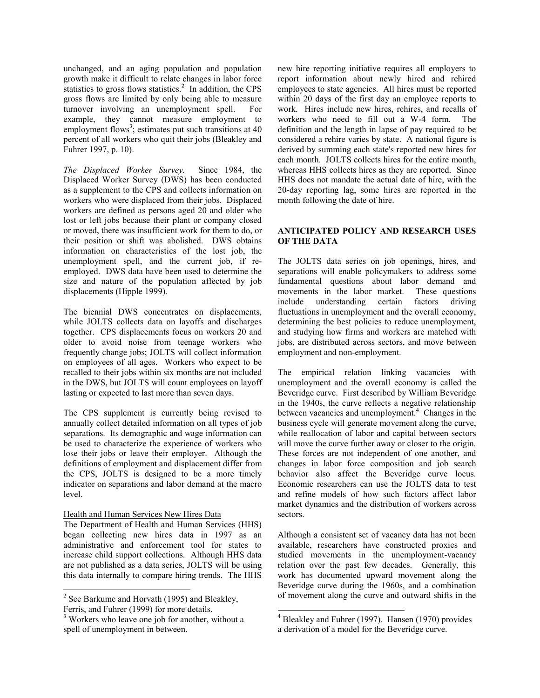unchanged, and an aging population and population growth make it difficult to relate changes in labor force statistics to gross flows statistics.**<sup>2</sup>** In addition, the CPS gross flows are limited by only being able to measure turnover involving an unemployment spell. For example, they cannot measure employment to employment flows<sup>3</sup>; estimates put such transitions at  $40$ percent of all workers who quit their jobs (Bleakley and Fuhrer 1997, p. 10).

*The Displaced Worker Survey.*Since 1984, the Displaced Worker Survey (DWS) has been conducted as a supplement to the CPS and collects information on workers who were displaced from their jobs. Displaced workers are defined as persons aged 20 and older who lost or left jobs because their plant or company closed or moved, there was insufficient work for them to do, or their position or shift was abolished. DWS obtains information on characteristics of the lost job, the unemployment spell, and the current job, if reemployed. DWS data have been used to determine the size and nature of the population affected by job displacements (Hipple 1999).

The biennial DWS concentrates on displacements, while JOLTS collects data on layoffs and discharges together. CPS displacements focus on workers 20 and older to avoid noise from teenage workers who frequently change jobs; JOLTS will collect information on employees of all ages. Workers who expect to be recalled to their jobs within six months are not included in the DWS, but JOLTS will count employees on layoff lasting or expected to last more than seven days.

The CPS supplement is currently being revised to annually collect detailed information on all types of job separations. Its demographic and wage information can be used to characterize the experience of workers who lose their jobs or leave their employer. Although the definitions of employment and displacement differ from the CPS, JOLTS is designed to be a more timely indicator on separations and labor demand at the macro level.

#### Health and Human Services New Hires Data

The Department of Health and Human Services (HHS) began collecting new hires data in 1997 as an administrative and enforcement tool for states to increase child support collections. Although HHS data are not published as a data series, JOLTS will be using this data internally to compare hiring trends. The HHS

l

new hire reporting initiative requires all employers to report information about newly hired and rehired employees to state agencies. All hires must be reported within 20 days of the first day an employee reports to work. Hires include new hires, rehires, and recalls of workers who need to fill out a W-4 form. The definition and the length in lapse of pay required to be considered a rehire varies by state. A national figure is derived by summing each state's reported new hires for each month. JOLTS collects hires for the entire month, whereas HHS collects hires as they are reported. Since HHS does not mandate the actual date of hire, with the 20-day reporting lag, some hires are reported in the month following the date of hire.

## **ANTICIPATED POLICY AND RESEARCH USES OF THE DATA**

The JOLTS data series on job openings, hires, and separations will enable policymakers to address some fundamental questions about labor demand and movements in the labor market. These questions include understanding certain factors driving fluctuations in unemployment and the overall economy, determining the best policies to reduce unemployment, and studying how firms and workers are matched with jobs, are distributed across sectors, and move between employment and non-employment.

The empirical relation linking vacancies with unemployment and the overall economy is called the Beveridge curve. First described by William Beveridge in the 1940s, the curve reflects a negative relationship between vacancies and unemployment.<sup>4</sup> Changes in the business cycle will generate movement along the curve, while reallocation of labor and capital between sectors will move the curve further away or closer to the origin. These forces are not independent of one another, and changes in labor force composition and job search behavior also affect the Beveridge curve locus. Economic researchers can use the JOLTS data to test and refine models of how such factors affect labor market dynamics and the distribution of workers across sectors.

Although a consistent set of vacancy data has not been available, researchers have constructed proxies and studied movements in the unemployment-vacancy relation over the past few decades. Generally, this work has documented upward movement along the Beveridge curve during the 1960s, and a combination of movement along the curve and outward shifts in the

 $2$  See Barkume and Horvath (1995) and Bleakley, Ferris, and Fuhrer (1999) for more details.

<sup>&</sup>lt;sup>3</sup> Workers who leave one job for another, without a spell of unemployment in between.

 4 Bleakley and Fuhrer (1997). Hansen (1970) provides a derivation of a model for the Beveridge curve.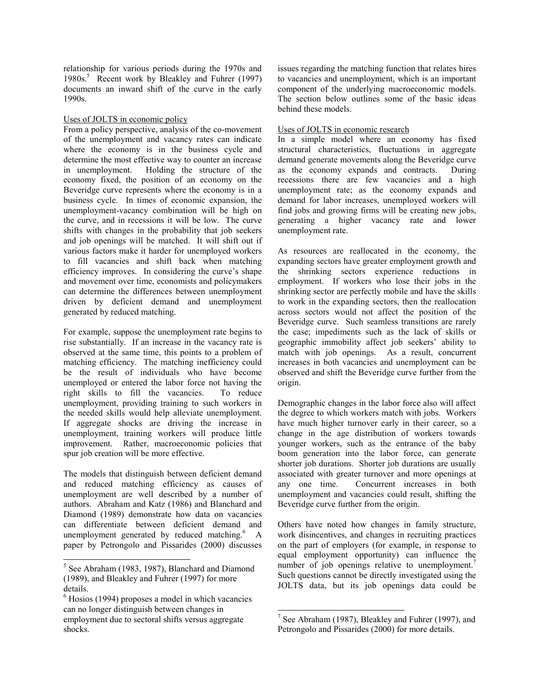relationship for various periods during the 1970s and 1980s.<sup>5</sup> Recent work by Bleakley and Fuhrer (1997) documents an inward shift of the curve in the early 1990s.

# Uses of JOLTS in economic policy

From a policy perspective, analysis of the co-movement of the unemployment and vacancy rates can indicate where the economy is in the business cycle and determine the most effective way to counter an increase in unemployment. Holding the structure of the economy fixed, the position of an economy on the Beveridge curve represents where the economy is in a business cycle. In times of economic expansion, the unemployment-vacancy combination will be high on the curve, and in recessions it will be low. The curve shifts with changes in the probability that job seekers and job openings will be matched. It will shift out if various factors make it harder for unemployed workers to fill vacancies and shift back when matching efficiency improves. In considering the curve's shape and movement over time, economists and policymakers can determine the differences between unemployment driven by deficient demand and unemployment generated by reduced matching.

For example, suppose the unemployment rate begins to rise substantially. If an increase in the vacancy rate is observed at the same time, this points to a problem of matching efficiency. The matching inefficiency could be the result of individuals who have become unemployed or entered the labor force not having the right skills to fill the vacancies. To reduce unemployment, providing training to such workers in the needed skills would help alleviate unemployment. If aggregate shocks are driving the increase in unemployment, training workers will produce little improvement. Rather, macroeconomic policies that spur job creation will be more effective.

The models that distinguish between deficient demand and reduced matching efficiency as causes of unemployment are well described by a number of authors. Abraham and Katz (1986) and Blanchard and Diamond (1989) demonstrate how data on vacancies can differentiate between deficient demand and unemployment generated by reduced matching. $6 \text{ A}$ paper by Petrongolo and Pissarides (2000) discusses

1

issues regarding the matching function that relates hires to vacancies and unemployment, which is an important component of the underlying macroeconomic models. The section below outlines some of the basic ideas behind these models.

## Uses of JOLTS in economic research

In a simple model where an economy has fixed structural characteristics, fluctuations in aggregate demand generate movements along the Beveridge curve as the economy expands and contracts. During recessions there are few vacancies and a high unemployment rate; as the economy expands and demand for labor increases, unemployed workers will find jobs and growing firms will be creating new jobs, generating a higher vacancy rate and lower unemployment rate.

As resources are reallocated in the economy, the expanding sectors have greater employment growth and the shrinking sectors experience reductions in employment. If workers who lose their jobs in the shrinking sector are perfectly mobile and have the skills to work in the expanding sectors, then the reallocation across sectors would not affect the position of the Beveridge curve. Such seamless transitions are rarely the case; impediments such as the lack of skills or geographic immobility affect job seekers' ability to match with job openings. As a result, concurrent increases in both vacancies and unemployment can be observed and shift the Beveridge curve further from the origin.

Demographic changes in the labor force also will affect the degree to which workers match with jobs. Workers have much higher turnover early in their career, so a change in the age distribution of workers towards younger workers, such as the entrance of the baby boom generation into the labor force, can generate shorter job durations. Shorter job durations are usually associated with greater turnover and more openings at any one time. Concurrent increases in both unemployment and vacancies could result, shifting the Beveridge curve further from the origin.

Others have noted how changes in family structure, work disincentives, and changes in recruiting practices on the part of employers (for example, in response to equal employment opportunity) can influence the number of job openings relative to unemployment.<sup>7</sup> Such questions cannot be directly investigated using the JOLTS data, but its job openings data could be

-

<sup>&</sup>lt;sup>5</sup> See Abraham (1983, 1987), Blanchard and Diamond (1989), and Bleakley and Fuhrer (1997) for more details.

<sup>6</sup> Hosios (1994) proposes a model in which vacancies can no longer distinguish between changes in employment due to sectoral shifts versus aggregate shocks.

<sup>&</sup>lt;sup>7</sup> See Abraham (1987), Bleakley and Fuhrer (1997), and Petrongolo and Pissarides (2000) for more details.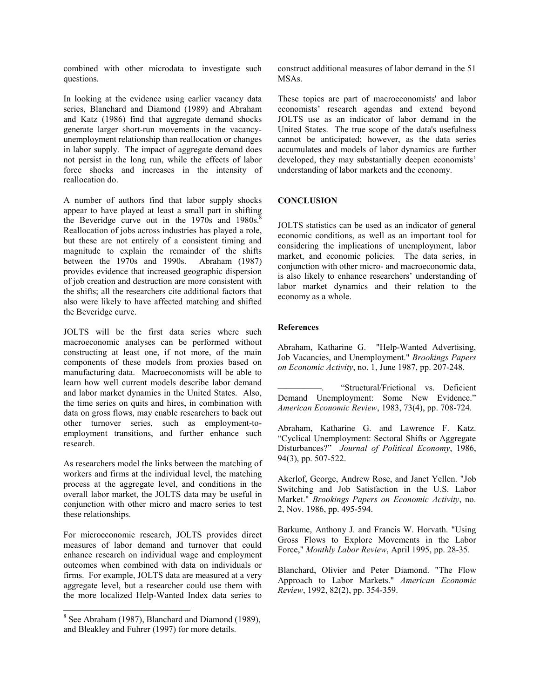combined with other microdata to investigate such questions.

In looking at the evidence using earlier vacancy data series, Blanchard and Diamond (1989) and Abraham and Katz (1986) find that aggregate demand shocks generate larger short-run movements in the vacancyunemployment relationship than reallocation or changes in labor supply. The impact of aggregate demand does not persist in the long run, while the effects of labor force shocks and increases in the intensity of reallocation do.

A number of authors find that labor supply shocks appear to have played at least a small part in shifting the Beveridge curve out in the  $1970s$  and  $1980s$ .<sup>8</sup> Reallocation of jobs across industries has played a role, but these are not entirely of a consistent timing and magnitude to explain the remainder of the shifts between the 1970s and 1990s. Abraham (1987) provides evidence that increased geographic dispersion of job creation and destruction are more consistent with the shifts; all the researchers cite additional factors that also were likely to have affected matching and shifted the Beveridge curve.

JOLTS will be the first data series where such macroeconomic analyses can be performed without constructing at least one, if not more, of the main components of these models from proxies based on manufacturing data. Macroeconomists will be able to learn how well current models describe labor demand and labor market dynamics in the United States. Also, the time series on quits and hires, in combination with data on gross flows, may enable researchers to back out other turnover series, such as employment-toemployment transitions, and further enhance such research.

As researchers model the links between the matching of workers and firms at the individual level, the matching process at the aggregate level, and conditions in the overall labor market, the JOLTS data may be useful in conjunction with other micro and macro series to test these relationships.

For microeconomic research, JOLTS provides direct measures of labor demand and turnover that could enhance research on individual wage and employment outcomes when combined with data on individuals or firms. For example, JOLTS data are measured at a very aggregate level, but a researcher could use them with the more localized Help-Wanted Index data series to

construct additional measures of labor demand in the 51 MSAs.

These topics are part of macroeconomists' and labor economists' research agendas and extend beyond JOLTS use as an indicator of labor demand in the United States. The true scope of the data's usefulness cannot be anticipated; however, as the data series accumulates and models of labor dynamics are further developed, they may substantially deepen economists' understanding of labor markets and the economy.

## **CONCLUSION**

JOLTS statistics can be used as an indicator of general economic conditions, as well as an important tool for considering the implications of unemployment, labor market, and economic policies. The data series, in conjunction with other micro- and macroeconomic data, is also likely to enhance researchers' understanding of labor market dynamics and their relation to the economy as a whole.

#### **References**

Abraham, Katharine G. "Help-Wanted Advertising, Job Vacancies, and Unemployment." *Brookings Papers on Economic Activity*, no. 1, June 1987, pp. 207-248.

"Structural/Frictional vs. Deficient Demand Unemployment: Some New Evidence." *American Economic Review*, 1983, 73(4), pp. 708-724.

Abraham, Katharine G. and Lawrence F. Katz. "Cyclical Unemployment: Sectoral Shifts or Aggregate Disturbances?" *Journal of Political Economy*, 1986, 94(3), pp. 507-522.

Akerlof, George, Andrew Rose, and Janet Yellen. "Job Switching and Job Satisfaction in the U.S. Labor Market." *Brookings Papers on Economic Activity*, no. 2, Nov. 1986, pp. 495-594.

Barkume, Anthony J. and Francis W. Horvath. "Using Gross Flows to Explore Movements in the Labor Force," *Monthly Labor Review*, April 1995, pp. 28-35.

Blanchard, Olivier and Peter Diamond. "The Flow Approach to Labor Markets." *American Economic Review*, 1992, 82(2), pp. 354-359.

<sup>&</sup>lt;sup>8</sup> See Abraham (1987), Blanchard and Diamond (1989), and Bleakley and Fuhrer (1997) for more details.